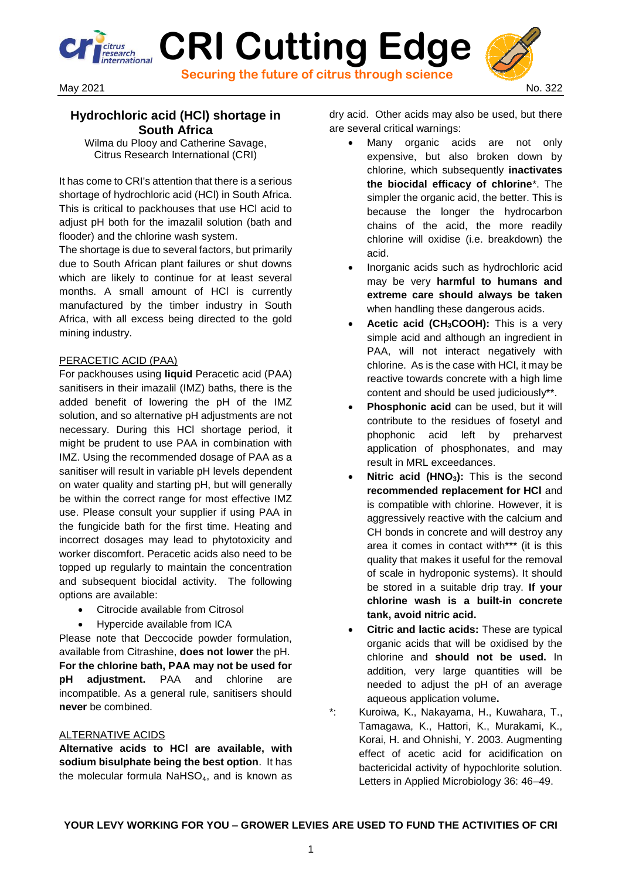**CRI Cutting Edge Securing the future of citrus through science**



# **Hydrochloric acid (HCl) shortage in South Africa**

Wilma du Plooy and Catherine Savage, Citrus Research International (CRI)

It has come to CRI's attention that there is a serious shortage of hydrochloric acid (HCl) in South Africa. This is critical to packhouses that use HCl acid to adjust pH both for the imazalil solution (bath and flooder) and the chlorine wash system.

The shortage is due to several factors, but primarily due to South African plant failures or shut downs which are likely to continue for at least several months. A small amount of HCl is currently manufactured by the timber industry in South Africa, with all excess being directed to the gold mining industry.

## PERACETIC ACID (PAA)

For packhouses using **liquid** Peracetic acid (PAA) sanitisers in their imazalil (IMZ) baths, there is the added benefit of lowering the pH of the IMZ solution, and so alternative pH adjustments are not necessary. During this HCl shortage period, it might be prudent to use PAA in combination with IMZ. Using the recommended dosage of PAA as a sanitiser will result in variable pH levels dependent on water quality and starting pH, but will generally be within the correct range for most effective IMZ use. Please consult your supplier if using PAA in the fungicide bath for the first time. Heating and incorrect dosages may lead to phytotoxicity and worker discomfort. Peracetic acids also need to be topped up regularly to maintain the concentration and subsequent biocidal activity. The following options are available:

- Citrocide available from Citrosol
- Hypercide available from ICA

Please note that Deccocide powder formulation, available from Citrashine, **does not lower** the pH. **For the chlorine bath, PAA may not be used for pH adjustment.** PAA and chlorine are incompatible. As a general rule, sanitisers should **never** be combined.

#### ALTERNATIVE ACIDS

**Alternative acids to HCl are available, with sodium bisulphate being the best option**. It has the molecular formula  $N$ aHSO<sub>4</sub>, and is known as dry acid. Other acids may also be used, but there are several critical warnings:

- Many organic acids are not only expensive, but also broken down by chlorine, which subsequently **inactivates the biocidal efficacy of chlorine**\*. The simpler the organic acid, the better. This is because the longer the hydrocarbon chains of the acid, the more readily chlorine will oxidise (i.e. breakdown) the acid.
- Inorganic acids such as hydrochloric acid may be very **harmful to humans and extreme care should always be taken** when handling these dangerous acids.
- **Acetic acid (CH3COOH):** This is a very simple acid and although an ingredient in PAA, will not interact negatively with chlorine. As is the case with HCl, it may be reactive towards concrete with a high lime content and should be used judiciously\*\*.
- **Phosphonic acid** can be used, but it will contribute to the residues of fosetyl and phophonic acid left by preharvest application of phosphonates, and may result in MRL exceedances.
- **Nitric acid (HNO3):** This is the second **recommended replacement for HCl** and is compatible with chlorine. However, it is aggressively reactive with the calcium and CH bonds in concrete and will destroy any area it comes in contact with\*\*\* (it is this quality that makes it useful for the removal of scale in hydroponic systems). It should be stored in a suitable drip tray. **If your chlorine wash is a built-in concrete tank, avoid nitric acid.**
- **Citric and lactic acids:** These are typical organic acids that will be oxidised by the chlorine and **should not be used.** In addition, very large quantities will be needed to adjust the pH of an average aqueous application volume**.**
- \*: Kuroiwa, K., Nakayama, H., Kuwahara, T., Tamagawa, K., Hattori, K., Murakami, K., Korai, H. and Ohnishi, Y. 2003. Augmenting effect of acetic acid for acidification on bactericidal activity of hypochlorite solution. Letters in Applied Microbiology 36: 46–49.

### **YOUR LEVY WORKING FOR YOU – GROWER LEVIES ARE USED TO FUND THE ACTIVITIES OF CRI**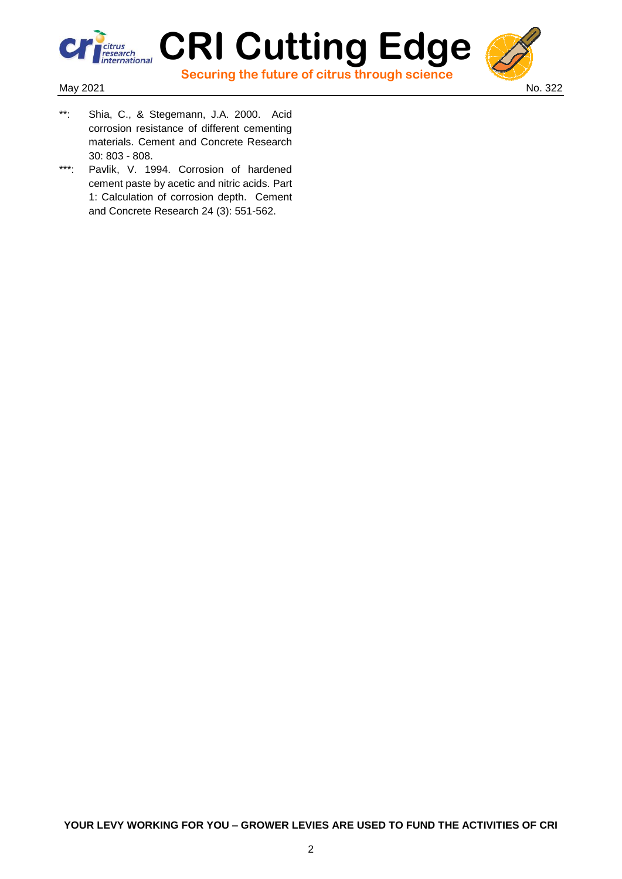

 **Securing the future of citrus through science**



- $**$ Shia, C., & Stegemann, J.A. 2000. Acid corrosion resistance of different cementing materials. Cement and Concrete Research 30: 803 - 808.
- \*\*\*: Pavlik, V. 1994. Corrosion of hardened cement paste by acetic and nitric acids. Part 1: Calculation of corrosion depth. Cement and Concrete Research 24 (3): 551-562.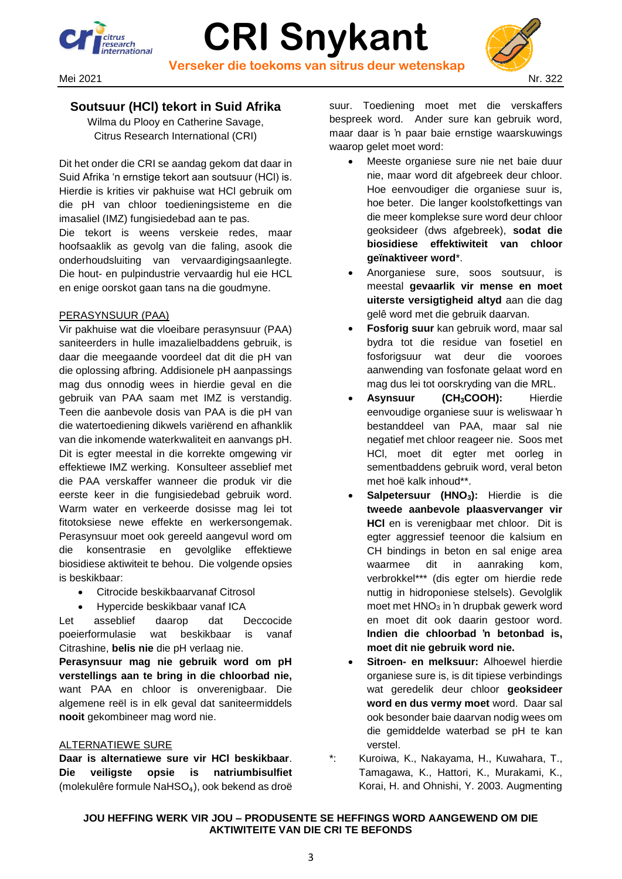

# **CRI Snykant Verseker die toekoms van sitrus deur wetenskap**



## **Soutsuur (HCl) tekort in Suid Afrika**

Wilma du Plooy en Catherine Savage, Citrus Research International (CRI)

Dit het onder die CRI se aandag gekom dat daar in Suid Afrika 'n ernstige tekort aan soutsuur (HCl) is. Hierdie is krities vir pakhuise wat HCl gebruik om die pH van chloor toedieningsisteme en die imasaliel (IMZ) fungisiedebad aan te pas.

Die tekort is weens verskeie redes, maar hoofsaaklik as gevolg van die faling, asook die onderhoudsluiting van vervaardigingsaanlegte. Die hout- en pulpindustrie vervaardig hul eie HCL en enige oorskot gaan tans na die goudmyne.

## PERASYNSUUR (PAA)

Vir pakhuise wat die vloeibare perasynsuur (PAA) saniteerders in hulle imazalielbaddens gebruik, is daar die meegaande voordeel dat dit die pH van die oplossing afbring. Addisionele pH aanpassings mag dus onnodig wees in hierdie geval en die gebruik van PAA saam met IMZ is verstandig. Teen die aanbevole dosis van PAA is die pH van die watertoediening dikwels variërend en afhanklik van die inkomende waterkwaliteit en aanvangs pH. Dit is egter meestal in die korrekte omgewing vir effektiewe IMZ werking. Konsulteer asseblief met die PAA verskaffer wanneer die produk vir die eerste keer in die fungisiedebad gebruik word. Warm water en verkeerde dosisse mag lei tot fitotoksiese newe effekte en werkersongemak. Perasynsuur moet ook gereeld aangevul word om die konsentrasie en gevolglike effektiewe biosidiese aktiwiteit te behou. Die volgende opsies is beskikbaar:

- Citrocide beskikbaarvanaf Citrosol
- Hypercide beskikbaar vanaf ICA

Let asseblief daarop dat Deccocide poeierformulasie wat beskikbaar is vanaf Citrashine, **belis nie** die pH verlaag nie.

**Perasynsuur mag nie gebruik word om pH verstellings aan te bring in die chloorbad nie,** want PAA en chloor is onverenigbaar. Die algemene reël is in elk geval dat saniteermiddels **nooit** gekombineer mag word nie.

## ALTERNATIEWE SURE

**Daar is alternatiewe sure vir HCl beskikbaar**. **Die veiligste opsie is natriumbisulfiet** (molekulêre formule NaHSO<sub>4</sub>), ook bekend as droë suur. Toediening moet met die verskaffers bespreek word. Ander sure kan gebruik word, maar daar is 'n paar baie ernstige waarskuwings waarop gelet moet word:

- Meeste organiese sure nie net baie duur nie, maar word dit afgebreek deur chloor. Hoe eenvoudiger die organiese suur is, hoe beter. Die langer koolstofkettings van die meer komplekse sure word deur chloor geoksideer (dws afgebreek), **sodat die biosidiese effektiwiteit van chloor geïnaktiveer word**\*.
- Anorganiese sure, soos soutsuur, is meestal **gevaarlik vir mense en moet uiterste versigtigheid altyd** aan die dag gelê word met die gebruik daarvan.
- **Fosforig suur** kan gebruik word, maar sal bydra tot die residue van fosetiel en fosforigsuur wat deur die vooroes aanwending van fosfonate gelaat word en mag dus lei tot oorskryding van die MRL.
- **Asynsuur (CH3COOH):** Hierdie eenvoudige organiese suur is weliswaar 'n bestanddeel van PAA, maar sal nie negatief met chloor reageer nie. Soos met HCl, moet dit egter met oorleg in sementbaddens gebruik word, veral beton met hoë kalk inhoud\*\*.
- **Salpetersuur (HNO3):** Hierdie is die **tweede aanbevole plaasvervanger vir HCl** en is verenigbaar met chloor. Dit is egter aggressief teenoor die kalsium en CH bindings in beton en sal enige area waarmee dit in aanraking kom, verbrokkel\*\*\* (dis egter om hierdie rede nuttig in hidroponiese stelsels). Gevolglik moet met HNO<sub>3</sub> in 'n drupbak gewerk word en moet dit ook daarin gestoor word. **Indien die chloorbad 'n betonbad is, moet dit nie gebruik word nie.**
- **Sitroen- en melksuur:** Alhoewel hierdie organiese sure is, is dit tipiese verbindings wat geredelik deur chloor **geoksideer word en dus vermy moet** word. Daar sal ook besonder baie daarvan nodig wees om die gemiddelde waterbad se pH te kan verstel.
- \*: Kuroiwa, K., Nakayama, H., Kuwahara, T., Tamagawa, K., Hattori, K., Murakami, K., Korai, H. and Ohnishi, Y. 2003. Augmenting

## **JOU HEFFING WERK VIR JOU – PRODUSENTE SE HEFFINGS WORD AANGEWEND OM DIE AKTIWITEITE VAN DIE CRI TE BEFONDS**